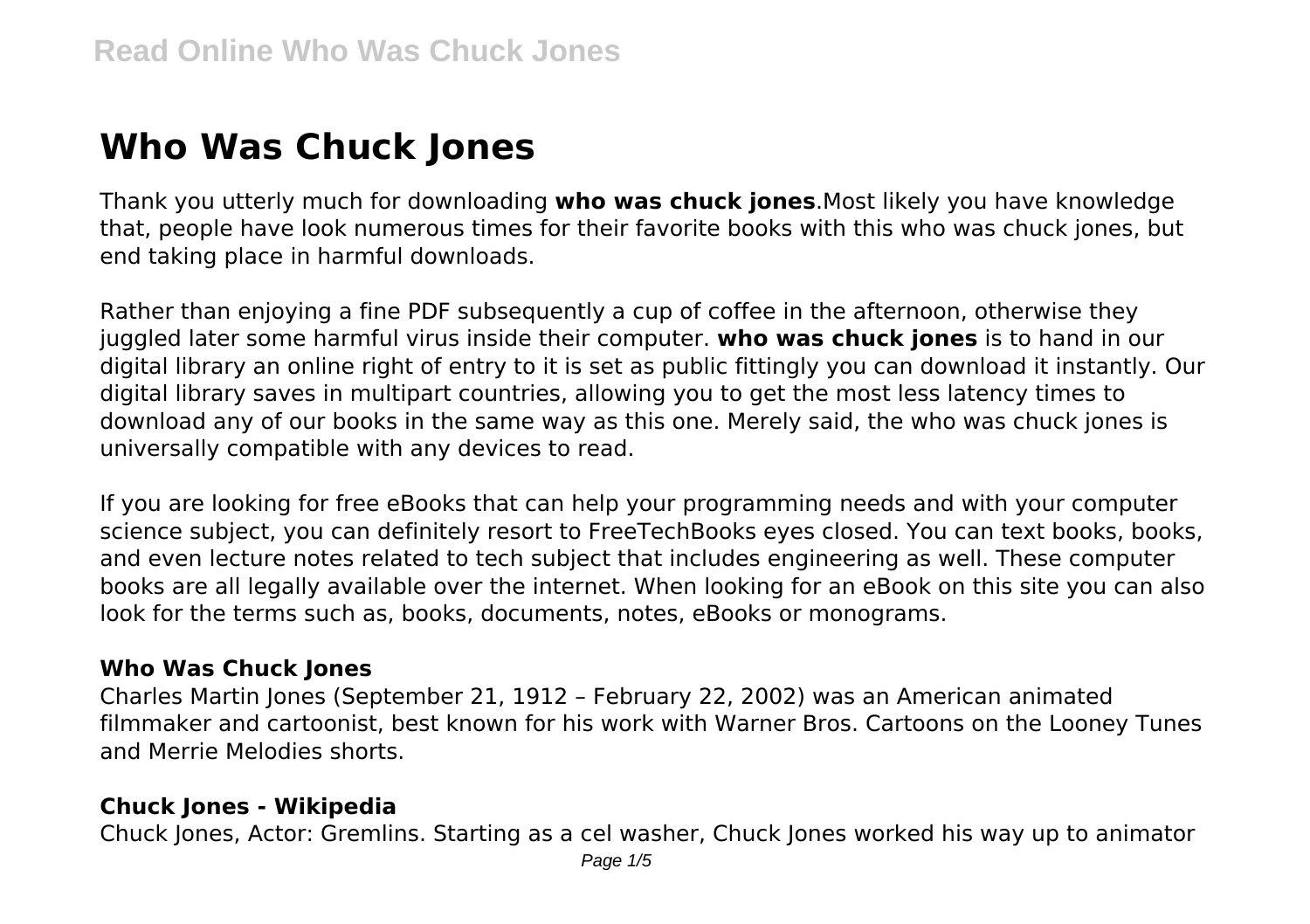# **Who Was Chuck Jones**

Thank you utterly much for downloading **who was chuck jones**.Most likely you have knowledge that, people have look numerous times for their favorite books with this who was chuck jones, but end taking place in harmful downloads.

Rather than enjoying a fine PDF subsequently a cup of coffee in the afternoon, otherwise they juggled later some harmful virus inside their computer. **who was chuck jones** is to hand in our digital library an online right of entry to it is set as public fittingly you can download it instantly. Our digital library saves in multipart countries, allowing you to get the most less latency times to download any of our books in the same way as this one. Merely said, the who was chuck jones is universally compatible with any devices to read.

If you are looking for free eBooks that can help your programming needs and with your computer science subject, you can definitely resort to FreeTechBooks eyes closed. You can text books, books, and even lecture notes related to tech subject that includes engineering as well. These computer books are all legally available over the internet. When looking for an eBook on this site you can also look for the terms such as, books, documents, notes, eBooks or monograms.

#### **Who Was Chuck Jones**

Charles Martin Jones (September 21, 1912 – February 22, 2002) was an American animated filmmaker and cartoonist, best known for his work with Warner Bros. Cartoons on the Looney Tunes and Merrie Melodies shorts.

#### **Chuck Jones - Wikipedia**

Chuck Jones, Actor: Gremlins. Starting as a cel washer, Chuck Jones worked his way up to animator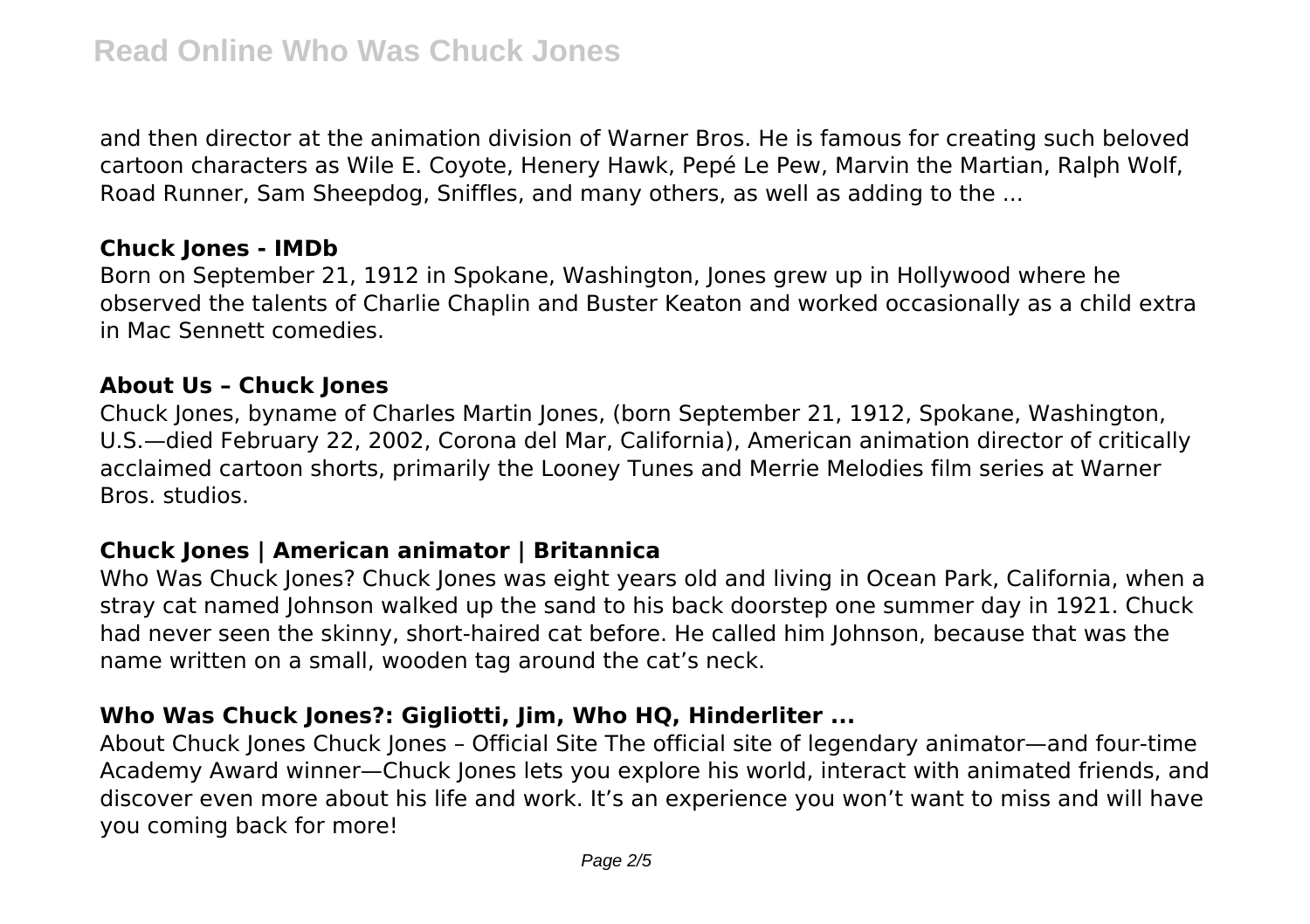and then director at the animation division of Warner Bros. He is famous for creating such beloved cartoon characters as Wile E. Coyote, Henery Hawk, Pepé Le Pew, Marvin the Martian, Ralph Wolf, Road Runner, Sam Sheepdog, Sniffles, and many others, as well as adding to the ...

#### **Chuck Jones - IMDb**

Born on September 21, 1912 in Spokane, Washington, Jones grew up in Hollywood where he observed the talents of Charlie Chaplin and Buster Keaton and worked occasionally as a child extra in Mac Sennett comedies.

#### **About Us – Chuck Jones**

Chuck Jones, byname of Charles Martin Jones, (born September 21, 1912, Spokane, Washington, U.S.—died February 22, 2002, Corona del Mar, California), American animation director of critically acclaimed cartoon shorts, primarily the Looney Tunes and Merrie Melodies film series at Warner Bros. studios.

## **Chuck Jones | American animator | Britannica**

Who Was Chuck Jones? Chuck Jones was eight years old and living in Ocean Park, California, when a stray cat named Johnson walked up the sand to his back doorstep one summer day in 1921. Chuck had never seen the skinny, short-haired cat before. He called him Johnson, because that was the name written on a small, wooden tag around the cat's neck.

# **Who Was Chuck Jones?: Gigliotti, Jim, Who HQ, Hinderliter ...**

About Chuck Jones Chuck Jones – Official Site The official site of legendary animator—and four-time Academy Award winner—Chuck Jones lets you explore his world, interact with animated friends, and discover even more about his life and work. It's an experience you won't want to miss and will have you coming back for more!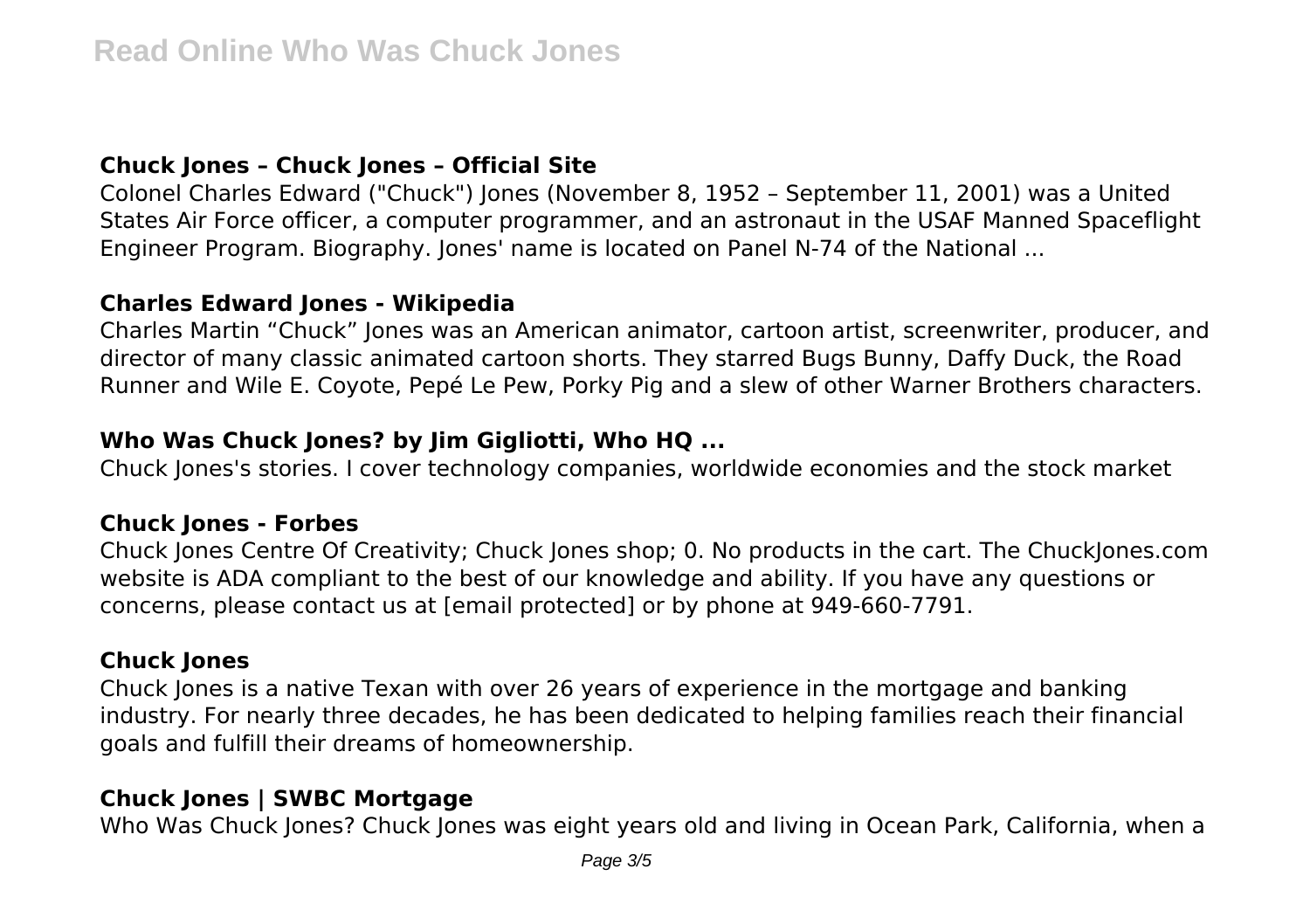## **Chuck Jones – Chuck Jones – Official Site**

Colonel Charles Edward ("Chuck") Jones (November 8, 1952 – September 11, 2001) was a United States Air Force officer, a computer programmer, and an astronaut in the USAF Manned Spaceflight Engineer Program. Biography. Jones' name is located on Panel N-74 of the National ...

#### **Charles Edward Jones - Wikipedia**

Charles Martin "Chuck" Jones was an American animator, cartoon artist, screenwriter, producer, and director of many classic animated cartoon shorts. They starred Bugs Bunny, Daffy Duck, the Road Runner and Wile E. Coyote, Pepé Le Pew, Porky Pig and a slew of other Warner Brothers characters.

# **Who Was Chuck Jones? by Jim Gigliotti, Who HQ ...**

Chuck Jones's stories. I cover technology companies, worldwide economies and the stock market

## **Chuck Jones - Forbes**

Chuck Jones Centre Of Creativity; Chuck Jones shop; 0. No products in the cart. The ChuckJones.com website is ADA compliant to the best of our knowledge and ability. If you have any questions or concerns, please contact us at [email protected] or by phone at 949-660-7791.

## **Chuck Jones**

Chuck Jones is a native Texan with over 26 years of experience in the mortgage and banking industry. For nearly three decades, he has been dedicated to helping families reach their financial goals and fulfill their dreams of homeownership.

# **Chuck Jones | SWBC Mortgage**

Who Was Chuck Jones? Chuck Jones was eight years old and living in Ocean Park, California, when a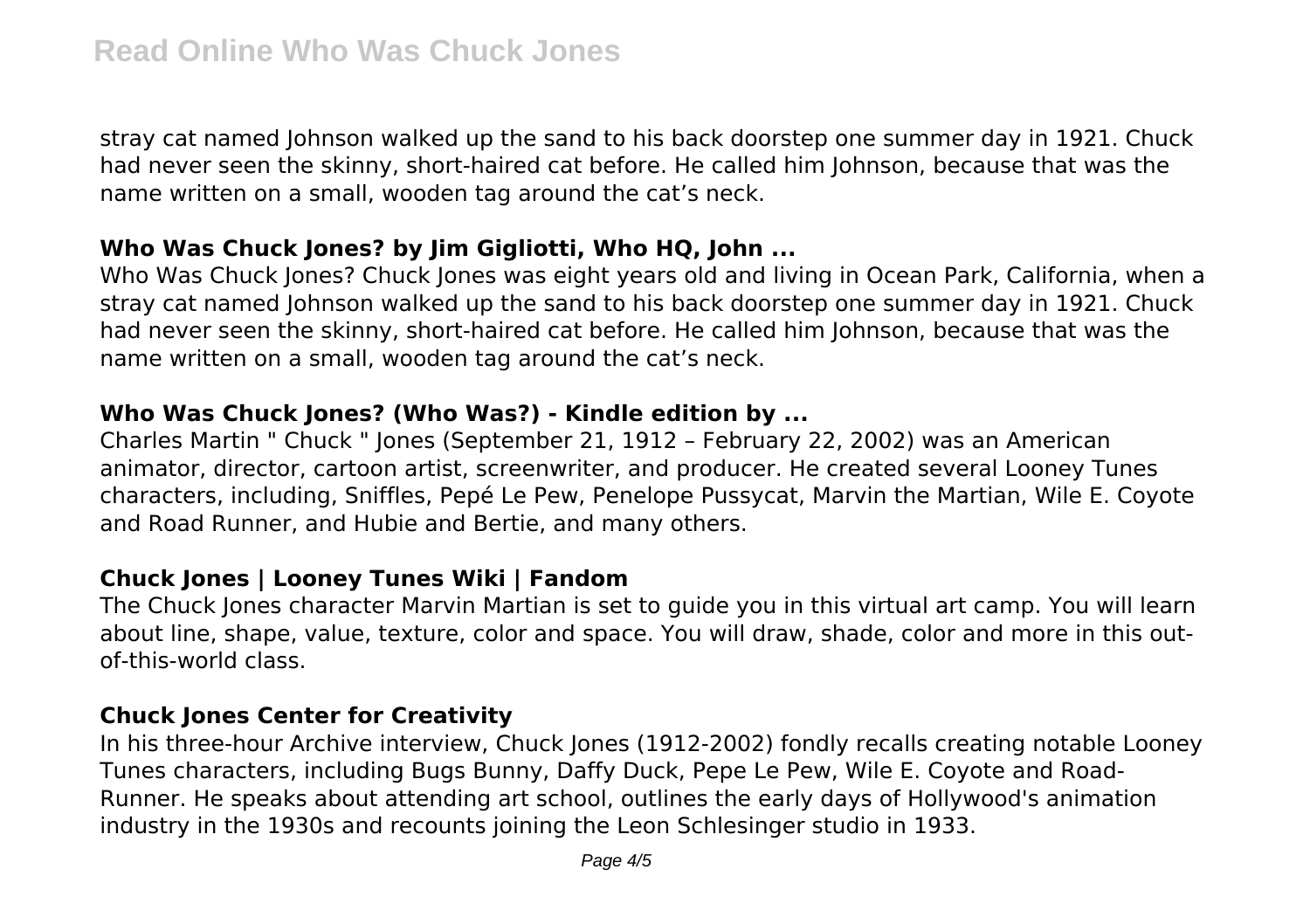stray cat named Johnson walked up the sand to his back doorstep one summer day in 1921. Chuck had never seen the skinny, short-haired cat before. He called him Johnson, because that was the name written on a small, wooden tag around the cat's neck.

#### **Who Was Chuck Jones? by Jim Gigliotti, Who HQ, John ...**

Who Was Chuck Jones? Chuck Jones was eight years old and living in Ocean Park, California, when a stray cat named Johnson walked up the sand to his back doorstep one summer day in 1921. Chuck had never seen the skinny, short-haired cat before. He called him Johnson, because that was the name written on a small, wooden tag around the cat's neck.

## **Who Was Chuck Jones? (Who Was?) - Kindle edition by ...**

Charles Martin " Chuck " Jones (September 21, 1912 – February 22, 2002) was an American animator, director, cartoon artist, screenwriter, and producer. He created several Looney Tunes characters, including, Sniffles, Pepé Le Pew, Penelope Pussycat, Marvin the Martian, Wile E. Coyote and Road Runner, and Hubie and Bertie, and many others.

## **Chuck Jones | Looney Tunes Wiki | Fandom**

The Chuck Jones character Marvin Martian is set to guide you in this virtual art camp. You will learn about line, shape, value, texture, color and space. You will draw, shade, color and more in this outof-this-world class.

## **Chuck Jones Center for Creativity**

In his three-hour Archive interview, Chuck Jones (1912-2002) fondly recalls creating notable Looney Tunes characters, including Bugs Bunny, Daffy Duck, Pepe Le Pew, Wile E. Coyote and Road-Runner. He speaks about attending art school, outlines the early days of Hollywood's animation industry in the 1930s and recounts joining the Leon Schlesinger studio in 1933.